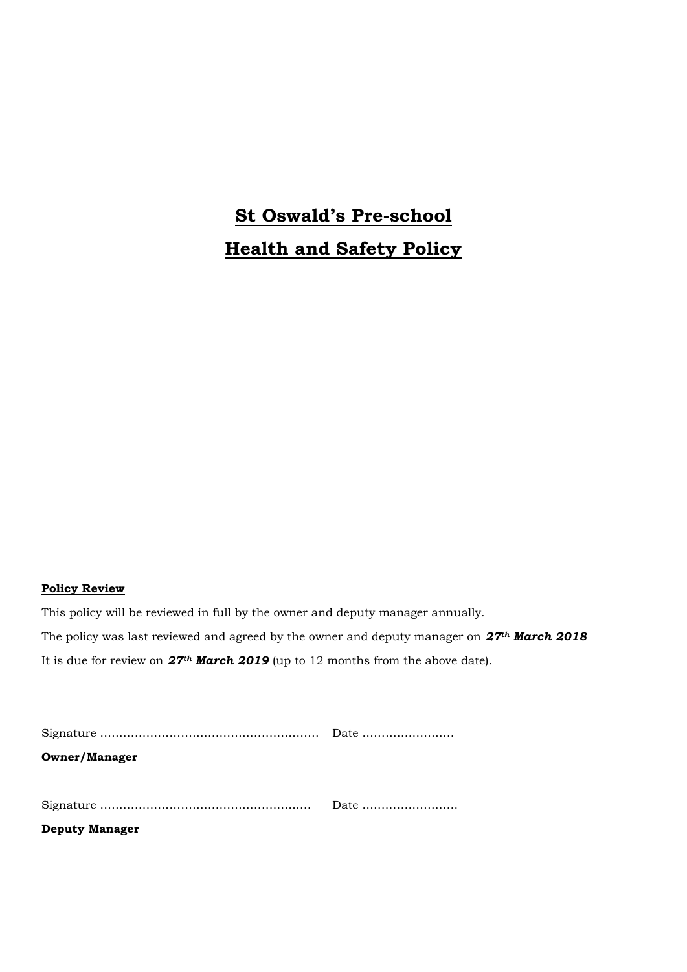# **St Oswald's Pre-school Health and Safety Policy**

#### **Policy Review**

This policy will be reviewed in full by the owner and deputy manager annually. The policy was last reviewed and agreed by the owner and deputy manager on *27th March 2018* It is due for review on *27th March 2019* (up to 12 months from the above date).

| <b>Deputy Manager</b> |                        |
|-----------------------|------------------------|
|                       | Date $\ldots$ $\ldots$ |
| <b>Owner/Manager</b>  |                        |
|                       |                        |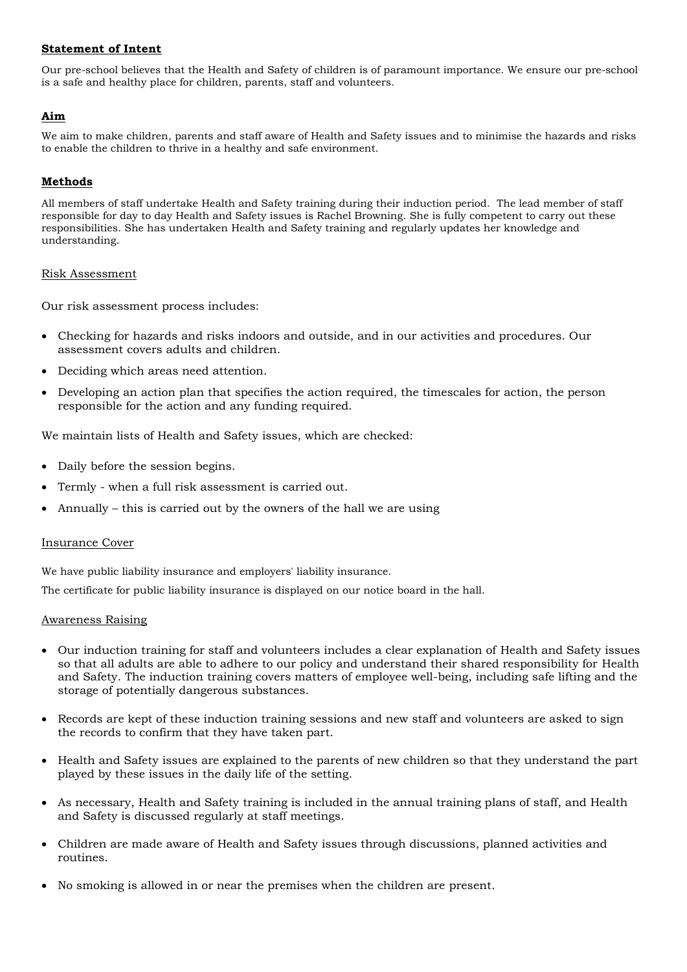#### **Statement of Intent**

Our pre-school believes that the Health and Safety of children is of paramount importance. We ensure our pre-school is a safe and healthy place for children, parents, staff and volunteers.

#### **Aim**

We aim to make children, parents and staff aware of Health and Safety issues and to minimise the hazards and risks to enable the children to thrive in a healthy and safe environment.

#### **Methods**

All members of staff undertake Health and Safety training during their induction period. The lead member of staff responsible for day to day Health and Safety issues is Rachel Browning. She is fully competent to carry out these responsibilities. She has undertaken Health and Safety training and regularly updates her knowledge and understanding.

#### Risk Assessment

Our risk assessment process includes:

- Checking for hazards and risks indoors and outside, and in our activities and procedures. Our assessment covers adults and children.
- Deciding which areas need attention.
- Developing an action plan that specifies the action required, the timescales for action, the person responsible for the action and any funding required.

We maintain lists of Health and Safety issues, which are checked:

- Daily before the session begins.
- Termly when a full risk assessment is carried out.
- Annually this is carried out by the owners of the hall we are using

#### Insurance Cover

We have public liability insurance and employers' liability insurance.

The certificate for public liability insurance is displayed on our notice board in the hall.

#### Awareness Raising

- Our induction training for staff and volunteers includes a clear explanation of Health and Safety issues so that all adults are able to adhere to our policy and understand their shared responsibility for Health and Safety. The induction training covers matters of employee well-being, including safe lifting and the storage of potentially dangerous substances.
- Records are kept of these induction training sessions and new staff and volunteers are asked to sign the records to confirm that they have taken part.
- Health and Safety issues are explained to the parents of new children so that they understand the part played by these issues in the daily life of the setting.
- As necessary, Health and Safety training is included in the annual training plans of staff, and Health and Safety is discussed regularly at staff meetings.
- Children are made aware of Health and Safety issues through discussions, planned activities and routines.
- No smoking is allowed in or near the premises when the children are present.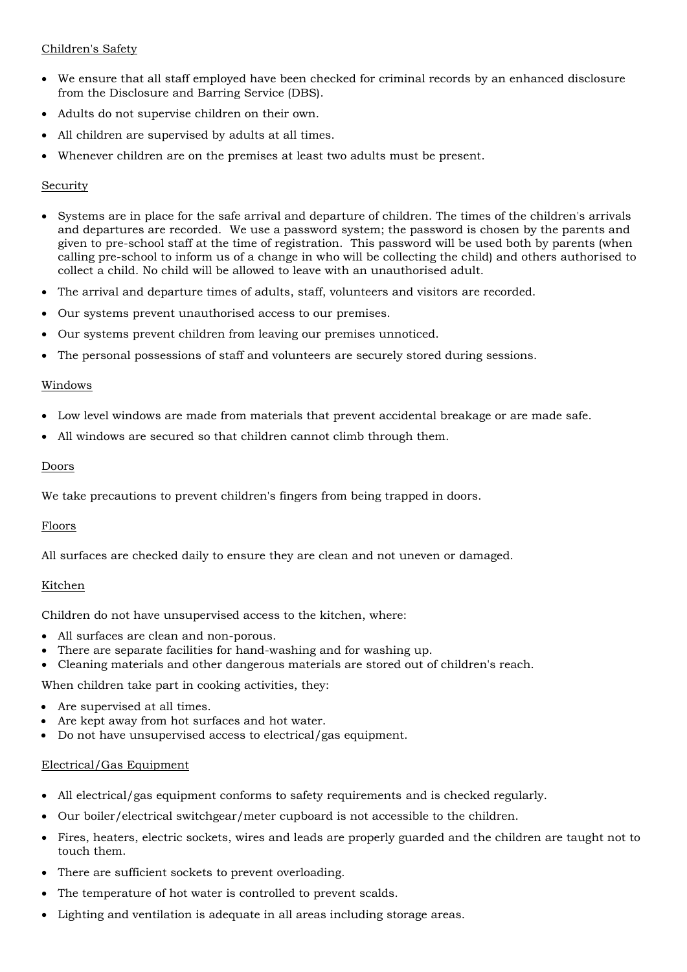# Children's Safety

- We ensure that all staff employed have been checked for criminal records by an enhanced disclosure from the Disclosure and Barring Service (DBS).
- Adults do not supervise children on their own.
- All children are supervised by adults at all times.
- Whenever children are on the premises at least two adults must be present.

# Security

- Systems are in place for the safe arrival and departure of children. The times of the children's arrivals and departures are recorded. We use a password system; the password is chosen by the parents and given to pre-school staff at the time of registration. This password will be used both by parents (when calling pre-school to inform us of a change in who will be collecting the child) and others authorised to collect a child. No child will be allowed to leave with an unauthorised adult.
- The arrival and departure times of adults, staff, volunteers and visitors are recorded.
- Our systems prevent unauthorised access to our premises.
- Our systems prevent children from leaving our premises unnoticed.
- The personal possessions of staff and volunteers are securely stored during sessions.

## Windows

- Low level windows are made from materials that prevent accidental breakage or are made safe.
- All windows are secured so that children cannot climb through them.

#### Doors

We take precautions to prevent children's fingers from being trapped in doors.

## Floors

All surfaces are checked daily to ensure they are clean and not uneven or damaged.

## Kitchen

Children do not have unsupervised access to the kitchen, where:

- All surfaces are clean and non-porous.
- There are separate facilities for hand-washing and for washing up.
- Cleaning materials and other dangerous materials are stored out of children's reach.

When children take part in cooking activities, they:

- Are supervised at all times.
- Are kept away from hot surfaces and hot water.
- Do not have unsupervised access to electrical/gas equipment.

## Electrical/Gas Equipment

- All electrical/gas equipment conforms to safety requirements and is checked regularly.
- Our boiler/electrical switchgear/meter cupboard is not accessible to the children.
- Fires, heaters, electric sockets, wires and leads are properly guarded and the children are taught not to touch them.
- There are sufficient sockets to prevent overloading.
- The temperature of hot water is controlled to prevent scalds.
- Lighting and ventilation is adequate in all areas including storage areas.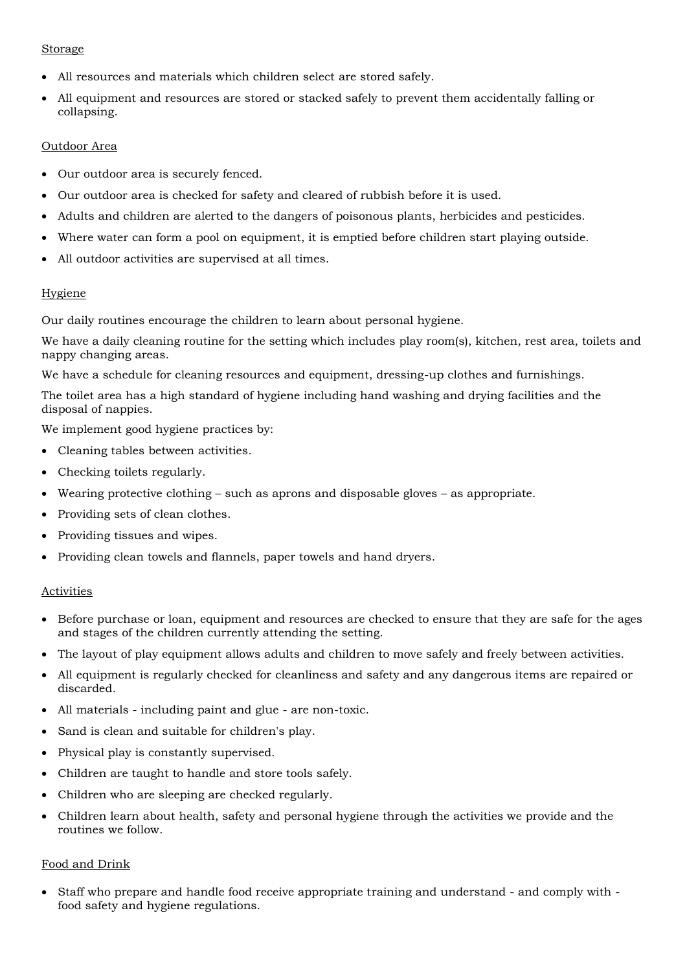## Storage

- All resources and materials which children select are stored safely.
- All equipment and resources are stored or stacked safely to prevent them accidentally falling or collapsing.

# Outdoor Area

- Our outdoor area is securely fenced.
- Our outdoor area is checked for safety and cleared of rubbish before it is used.
- Adults and children are alerted to the dangers of poisonous plants, herbicides and pesticides.
- Where water can form a pool on equipment, it is emptied before children start playing outside.
- All outdoor activities are supervised at all times.

# Hygiene

Our daily routines encourage the children to learn about personal hygiene.

We have a daily cleaning routine for the setting which includes play room(s), kitchen, rest area, toilets and nappy changing areas.

We have a schedule for cleaning resources and equipment, dressing-up clothes and furnishings.

The toilet area has a high standard of hygiene including hand washing and drying facilities and the disposal of nappies.

We implement good hygiene practices by:

- Cleaning tables between activities.
- Checking toilets regularly.
- Wearing protective clothing such as aprons and disposable gloves as appropriate.
- Providing sets of clean clothes.
- Providing tissues and wipes.
- Providing clean towels and flannels, paper towels and hand dryers.

## Activities

- Before purchase or loan, equipment and resources are checked to ensure that they are safe for the ages and stages of the children currently attending the setting.
- The layout of play equipment allows adults and children to move safely and freely between activities.
- All equipment is regularly checked for cleanliness and safety and any dangerous items are repaired or discarded.
- All materials including paint and glue are non-toxic.
- Sand is clean and suitable for children's play.
- Physical play is constantly supervised.
- Children are taught to handle and store tools safely.
- Children who are sleeping are checked regularly.
- Children learn about health, safety and personal hygiene through the activities we provide and the routines we follow.

# Food and Drink

• Staff who prepare and handle food receive appropriate training and understand - and comply with food safety and hygiene regulations.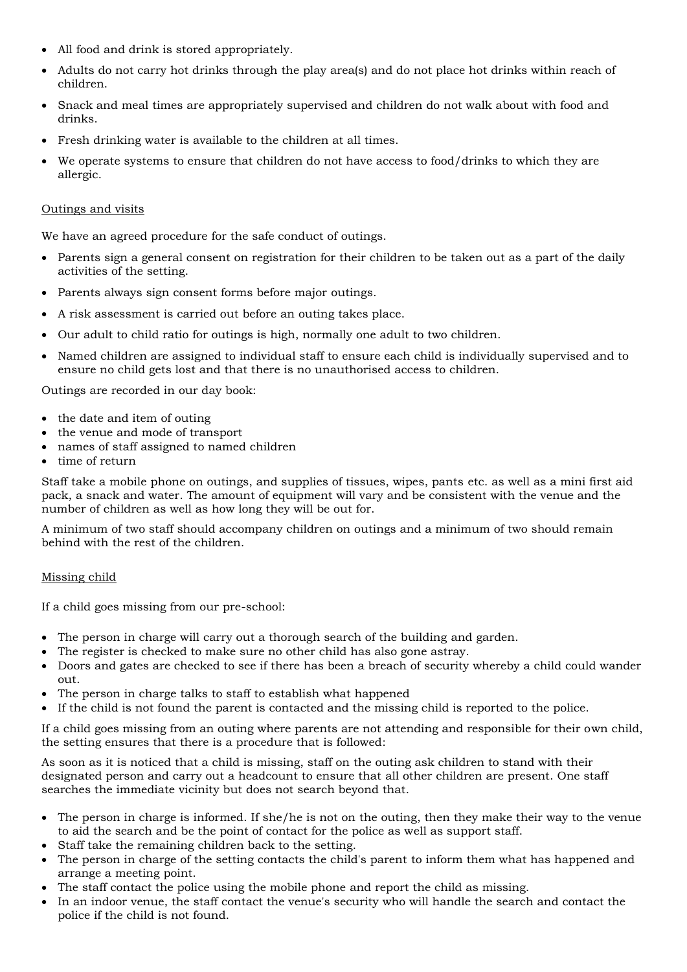- All food and drink is stored appropriately.
- Adults do not carry hot drinks through the play area(s) and do not place hot drinks within reach of children.
- Snack and meal times are appropriately supervised and children do not walk about with food and drinks.
- Fresh drinking water is available to the children at all times.
- We operate systems to ensure that children do not have access to food/drinks to which they are allergic.

# Outings and visits

We have an agreed procedure for the safe conduct of outings.

- Parents sign a general consent on registration for their children to be taken out as a part of the daily activities of the setting.
- Parents always sign consent forms before major outings.
- A risk assessment is carried out before an outing takes place.
- Our adult to child ratio for outings is high, normally one adult to two children.
- Named children are assigned to individual staff to ensure each child is individually supervised and to ensure no child gets lost and that there is no unauthorised access to children.

Outings are recorded in our day book:

- the date and item of outing
- the venue and mode of transport
- names of staff assigned to named children
- time of return

Staff take a mobile phone on outings, and supplies of tissues, wipes, pants etc. as well as a mini first aid pack, a snack and water. The amount of equipment will vary and be consistent with the venue and the number of children as well as how long they will be out for.

A minimum of two staff should accompany children on outings and a minimum of two should remain behind with the rest of the children.

## Missing child

If a child goes missing from our pre-school:

- The person in charge will carry out a thorough search of the building and garden.
- The register is checked to make sure no other child has also gone astray.
- Doors and gates are checked to see if there has been a breach of security whereby a child could wander out.
- The person in charge talks to staff to establish what happened
- If the child is not found the parent is contacted and the missing child is reported to the police.

If a child goes missing from an outing where parents are not attending and responsible for their own child, the setting ensures that there is a procedure that is followed:

As soon as it is noticed that a child is missing, staff on the outing ask children to stand with their designated person and carry out a headcount to ensure that all other children are present. One staff searches the immediate vicinity but does not search beyond that.

- The person in charge is informed. If she/he is not on the outing, then they make their way to the venue to aid the search and be the point of contact for the police as well as support staff.
- Staff take the remaining children back to the setting.
- The person in charge of the setting contacts the child's parent to inform them what has happened and arrange a meeting point.
- The staff contact the police using the mobile phone and report the child as missing.
- In an indoor venue, the staff contact the venue's security who will handle the search and contact the police if the child is not found.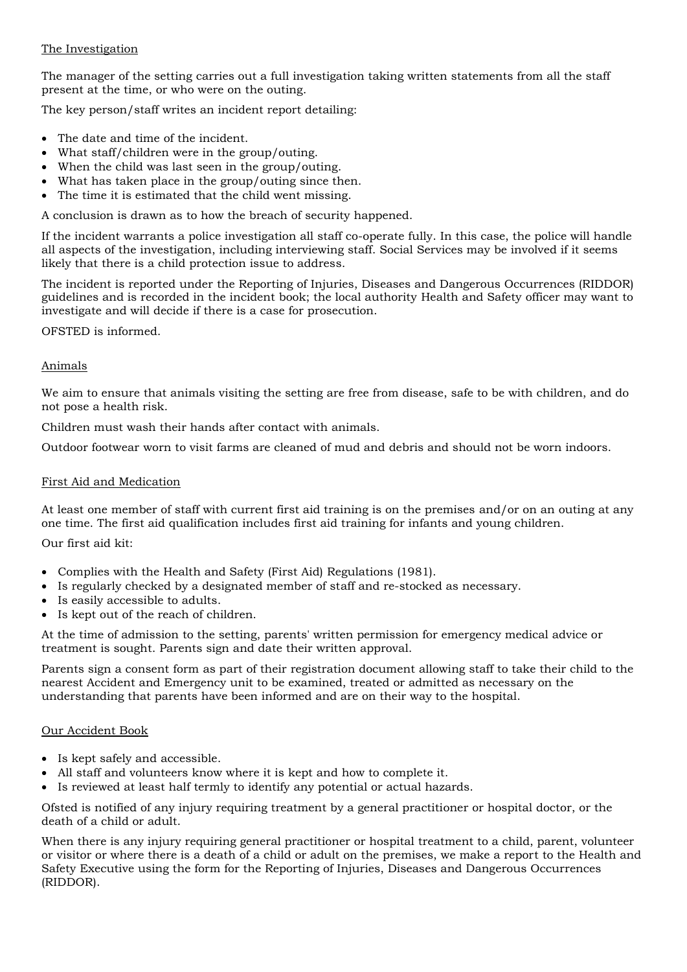# The Investigation

The manager of the setting carries out a full investigation taking written statements from all the staff present at the time, or who were on the outing.

The key person/staff writes an incident report detailing:

- The date and time of the incident.
- What staff/children were in the group/outing.
- When the child was last seen in the group/outing.
- What has taken place in the group/outing since then.
- The time it is estimated that the child went missing.

A conclusion is drawn as to how the breach of security happened.

If the incident warrants a police investigation all staff co-operate fully. In this case, the police will handle all aspects of the investigation, including interviewing staff. Social Services may be involved if it seems likely that there is a child protection issue to address.

The incident is reported under the Reporting of Injuries, Diseases and Dangerous Occurrences (RIDDOR) guidelines and is recorded in the incident book; the local authority Health and Safety officer may want to investigate and will decide if there is a case for prosecution.

OFSTED is informed.

## Animals

We aim to ensure that animals visiting the setting are free from disease, safe to be with children, and do not pose a health risk.

Children must wash their hands after contact with animals.

Outdoor footwear worn to visit farms are cleaned of mud and debris and should not be worn indoors.

# First Aid and Medication

At least one member of staff with current first aid training is on the premises and/or on an outing at any one time. The first aid qualification includes first aid training for infants and young children.

Our first aid kit:

- Complies with the Health and Safety (First Aid) Regulations (1981).
- Is regularly checked by a designated member of staff and re-stocked as necessary.
- Is easily accessible to adults.
- Is kept out of the reach of children.

At the time of admission to the setting, parents' written permission for emergency medical advice or treatment is sought. Parents sign and date their written approval.

Parents sign a consent form as part of their registration document allowing staff to take their child to the nearest Accident and Emergency unit to be examined, treated or admitted as necessary on the understanding that parents have been informed and are on their way to the hospital.

## Our Accident Book

- Is kept safely and accessible.
- All staff and volunteers know where it is kept and how to complete it.
- Is reviewed at least half termly to identify any potential or actual hazards.

Ofsted is notified of any injury requiring treatment by a general practitioner or hospital doctor, or the death of a child or adult.

When there is any injury requiring general practitioner or hospital treatment to a child, parent, volunteer or visitor or where there is a death of a child or adult on the premises, we make a report to the Health and Safety Executive using the form for the Reporting of Injuries, Diseases and Dangerous Occurrences (RIDDOR).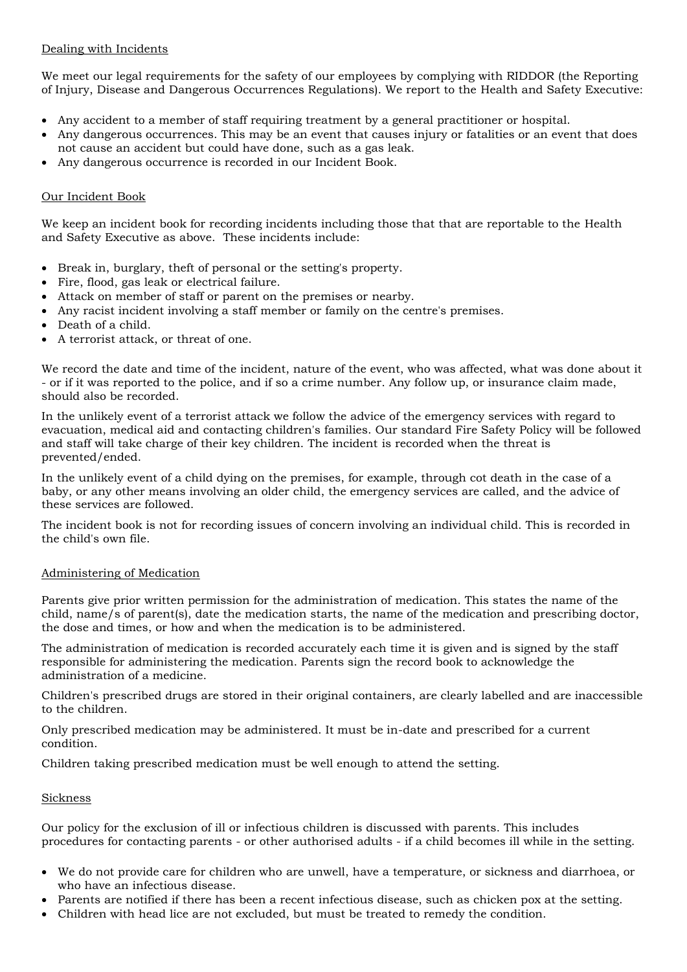## Dealing with Incidents

We meet our legal requirements for the safety of our employees by complying with RIDDOR (the Reporting of Injury, Disease and Dangerous Occurrences Regulations). We report to the Health and Safety Executive:

- Any accident to a member of staff requiring treatment by a general practitioner or hospital.
- Any dangerous occurrences. This may be an event that causes injury or fatalities or an event that does not cause an accident but could have done, such as a gas leak.
- Any dangerous occurrence is recorded in our Incident Book.

# Our Incident Book

We keep an incident book for recording incidents including those that that are reportable to the Health and Safety Executive as above. These incidents include:

- Break in, burglary, theft of personal or the setting's property.
- Fire, flood, gas leak or electrical failure.
- Attack on member of staff or parent on the premises or nearby.
- Any racist incident involving a staff member or family on the centre's premises.
- Death of a child.
- A terrorist attack, or threat of one.

We record the date and time of the incident, nature of the event, who was affected, what was done about it - or if it was reported to the police, and if so a crime number. Any follow up, or insurance claim made, should also be recorded.

In the unlikely event of a terrorist attack we follow the advice of the emergency services with regard to evacuation, medical aid and contacting children's families. Our standard Fire Safety Policy will be followed and staff will take charge of their key children. The incident is recorded when the threat is prevented/ended.

In the unlikely event of a child dying on the premises, for example, through cot death in the case of a baby, or any other means involving an older child, the emergency services are called, and the advice of these services are followed.

The incident book is not for recording issues of concern involving an individual child. This is recorded in the child's own file.

## Administering of Medication

Parents give prior written permission for the administration of medication. This states the name of the child, name/s of parent(s), date the medication starts, the name of the medication and prescribing doctor, the dose and times, or how and when the medication is to be administered.

The administration of medication is recorded accurately each time it is given and is signed by the staff responsible for administering the medication. Parents sign the record book to acknowledge the administration of a medicine.

Children's prescribed drugs are stored in their original containers, are clearly labelled and are inaccessible to the children.

Only prescribed medication may be administered. It must be in-date and prescribed for a current condition.

Children taking prescribed medication must be well enough to attend the setting.

## **Sickness**

Our policy for the exclusion of ill or infectious children is discussed with parents. This includes procedures for contacting parents - or other authorised adults - if a child becomes ill while in the setting.

- We do not provide care for children who are unwell, have a temperature, or sickness and diarrhoea, or who have an infectious disease.
- Parents are notified if there has been a recent infectious disease, such as chicken pox at the setting.
- Children with head lice are not excluded, but must be treated to remedy the condition.